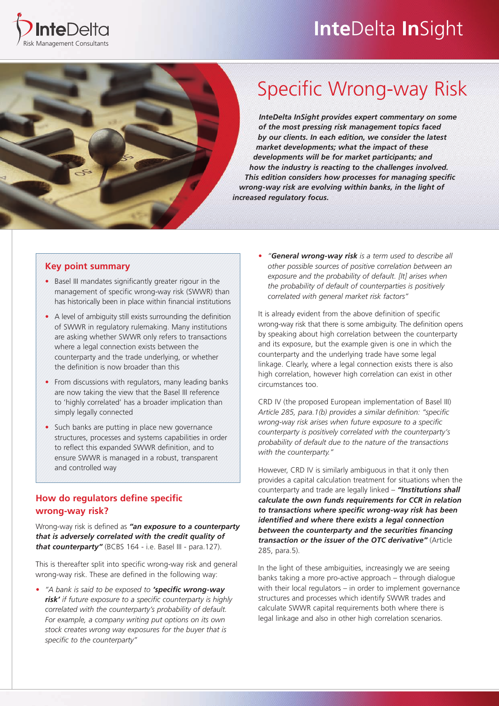

# **Inte**Delta **In**Sight



# Specific Wrong-way Risk

*InteDelta InSight provides expert commentary on some of the most pressing risk management topics faced by our clients. In each edition, we consider the latest market developments; what the impact of these developments will be for market participants; and how the industry is reacting to the challenges involved. This edition considers how processes for managing specific wrong-way risk are evolving within banks, in the light of increased regulatory focus.*

# **Key point summary**

- Basel III mandates significantly greater rigour in the management of specific wrong-way risk (SWWR) than has historically been in place within financial institutions
- A level of ambiguity still exists surrounding the definition of SWWR in regulatory rulemaking. Many institutions are asking whether SWWR only refers to transactions where a legal connection exists between the counterparty and the trade underlying, or whether the definition is now broader than this
- From discussions with regulators, many leading banks are now taking the view that the Basel III reference to 'highly correlated' has a broader implication than simply legally connected
- Such banks are putting in place new governance structures, processes and systems capabilities in order to reflect this expanded SWWR definition, and to ensure SWWR is managed in a robust, transparent and controlled way

# **How do regulators define specific wrong-way risk?**

Wrong-way risk is defined as *"an exposure to a counterparty that is adversely correlated with the credit quality of that counterparty"* (BCBS 164 - i.e. Basel III - para.127).

This is thereafter split into specific wrong-way risk and general wrong-way risk. These are defined in the following way:

*• "A bank is said to be exposed to 'specific wrong-way risk' if future exposure to a specific counterparty is highly correlated with the counterparty's probability of default. For example, a company writing put options on its own stock creates wrong way exposures for the buyer that is specific to the counterparty"*

*• "General wrong-way risk is a term used to describe all other possible sources of positive correlation between an exposure and the probability of default. [It] arises when the probability of default of counterparties is positively correlated with general market risk factors"*

It is already evident from the above definition of specific wrong-way risk that there is some ambiguity. The definition opens by speaking about high correlation between the counterparty and its exposure, but the example given is one in which the counterparty and the underlying trade have some legal linkage. Clearly, where a legal connection exists there is also high correlation, however high correlation can exist in other circumstances too.

CRD IV (the proposed European implementation of Basel III) *Article 285, para.1(b) provides a similar definition: "specific wrong-way risk arises when future exposure to a specific counterparty is positively correlated with the counterparty's probability of default due to the nature of the transactions with the counterparty."* 

However, CRD IV is similarly ambiguous in that it only then provides a capital calculation treatment for situations when the counterparty and trade are legally linked – *"Institutions shall calculate the own funds requirements for CCR in relation to transactions where specific wrong-way risk has been identified and where there exists a legal connection between the counterparty and the securities financing transaction or the issuer of the OTC derivative"* (Article 285, para.5).

In the light of these ambiguities, increasingly we are seeing banks taking a more pro-active approach – through dialogue with their local regulators – in order to implement governance structures and processes which identify SWWR trades and calculate SWWR capital requirements both where there is legal linkage and also in other high correlation scenarios.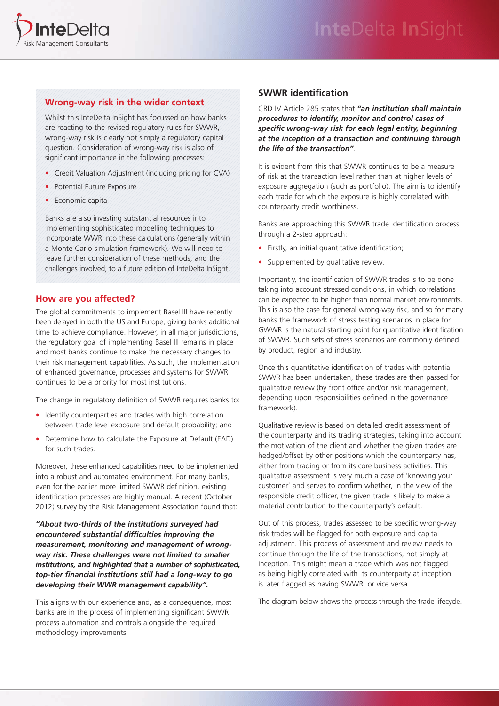

# **Wrong-way risk in the wider context**

Whilst this InteDelta InSight has focussed on how banks are reacting to the revised regulatory rules for SWWR, wrong-way risk is clearly not simply a regulatory capital question. Consideration of wrong-way risk is also of significant importance in the following processes:

- Credit Valuation Adjustment (including pricing for CVA)
- Potential Future Exposure
- Economic capital

Banks are also investing substantial resources into implementing sophisticated modelling techniques to incorporate WWR into these calculations (generally within a Monte Carlo simulation framework). We will need to leave further consideration of these methods, and the challenges involved, to a future edition of InteDelta InSight.

### **How are you affected?**

The global commitments to implement Basel III have recently been delayed in both the US and Europe, giving banks additional time to achieve compliance. However, in all major jurisdictions, the regulatory goal of implementing Basel III remains in place and most banks continue to make the necessary changes to their risk management capabilities. As such, the implementation of enhanced governance, processes and systems for SWWR continues to be a priority for most institutions.

The change in regulatory definition of SWWR requires banks to:

- Identify counterparties and trades with high correlation between trade level exposure and default probability; and
- Determine how to calculate the Exposure at Default (EAD) for such trades.

Moreover, these enhanced capabilities need to be implemented into a robust and automated environment. For many banks, even for the earlier more limited SWWR definition, existing identification processes are highly manual. A recent (October 2012) survey by the Risk Management Association found that:

*"About two-thirds of the institutions surveyed had encountered substantial difficulties improving the measurement, monitoring and management of wrongway risk. These challenges were not limited to smaller institutions, and highlighted that a number of sophisticated, top-tier financial institutions still had a long-way to go developing their WWR management capability".*

This aligns with our experience and, as a consequence, most banks are in the process of implementing significant SWWR process automation and controls alongside the required methodology improvements.

### **SWWR identification**

CRD IV Article 285 states that *"an institution shall maintain procedures to identify, monitor and control cases of specific wrong-way risk for each legal entity, beginning at the inception of a transaction and continuing through the life of the transaction"*.

It is evident from this that SWWR continues to be a measure of risk at the transaction level rather than at higher levels of exposure aggregation (such as portfolio). The aim is to identify each trade for which the exposure is highly correlated with counterparty credit worthiness.

Banks are approaching this SWWR trade identification process through a 2-step approach:

- Firstly, an initial quantitative identification;
- Supplemented by qualitative review.

Importantly, the identification of SWWR trades is to be done taking into account stressed conditions, in which correlations can be expected to be higher than normal market environments. This is also the case for general wrong-way risk, and so for many banks the framework of stress testing scenarios in place for GWWR is the natural starting point for quantitative identification of SWWR. Such sets of stress scenarios are commonly defined by product, region and industry.

Once this quantitative identification of trades with potential SWWR has been undertaken, these trades are then passed for qualitative review (by front office and/or risk management, depending upon responsibilities defined in the governance framework).

Qualitative review is based on detailed credit assessment of the counterparty and its trading strategies, taking into account the motivation of the client and whether the given trades are hedged/offset by other positions which the counterparty has, either from trading or from its core business activities. This qualitative assessment is very much a case of 'knowing your customer' and serves to confirm whether, in the view of the responsible credit officer, the given trade is likely to make a material contribution to the counterparty's default.

Out of this process, trades assessed to be specific wrong-way risk trades will be flagged for both exposure and capital adjustment. This process of assessment and review needs to continue through the life of the transactions, not simply at inception. This might mean a trade which was not flagged as being highly correlated with its counterparty at inception is later flagged as having SWWR, or vice versa.

The diagram below shows the process through the trade lifecycle.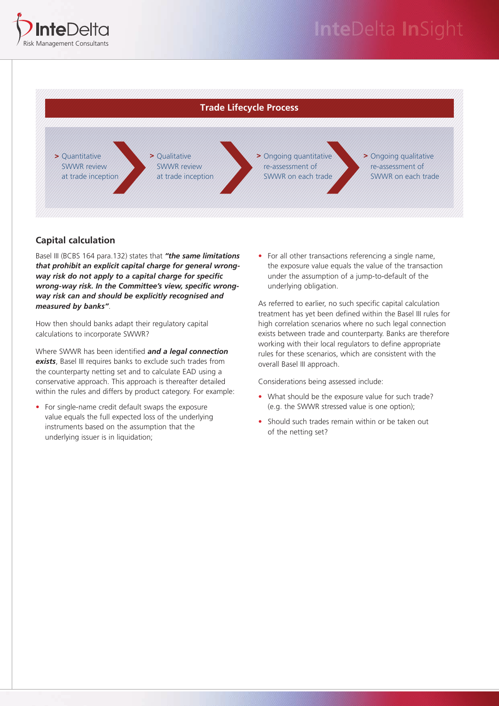

# InteDelta InSight



# **Capital calculation**

Basel III (BCBS 164 para.132) states that *"the same limitations that prohibit an explicit capital charge for general wrongway risk do not apply to a capital charge for specific wrong-way risk. In the Committee's view, specific wrongway risk can and should be explicitly recognised and measured by banks"*.

How then should banks adapt their regulatory capital calculations to incorporate SWWR?

Where SWWR has been identified *and a legal connection exists*, Basel III requires banks to exclude such trades from the counterparty netting set and to calculate EAD using a conservative approach. This approach is thereafter detailed within the rules and differs by product category. For example:

• For single-name credit default swaps the exposure value equals the full expected loss of the underlying instruments based on the assumption that the underlying issuer is in liquidation:

• For all other transactions referencing a single name, the exposure value equals the value of the transaction under the assumption of a jump-to-default of the underlying obligation.

As referred to earlier, no such specific capital calculation treatment has yet been defined within the Basel III rules for high correlation scenarios where no such legal connection exists between trade and counterparty. Banks are therefore working with their local regulators to define appropriate rules for these scenarios, which are consistent with the overall Basel III approach.

Considerations being assessed include:

- What should be the exposure value for such trade? (e.g. the SWWR stressed value is one option);
- Should such trades remain within or be taken out of the netting set?